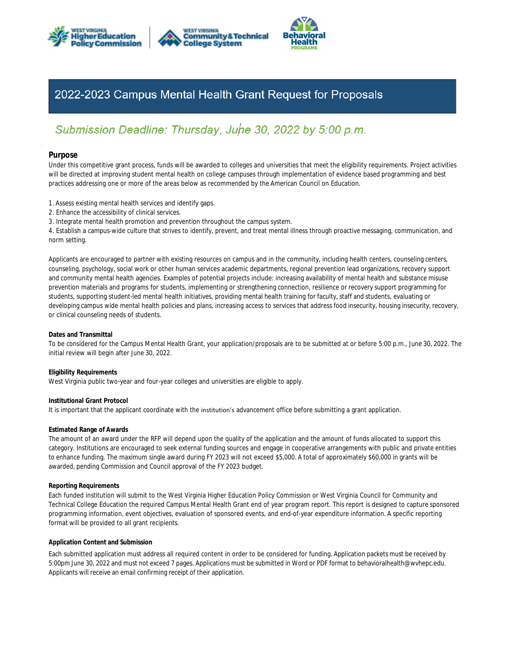





# 2022-2023 Campus Mental Health Grant Request for Proposals

# Submission Deadline: Thursday, Juhe 30, 2022 by 5:00 p.m.

# **Purpose**

practices addressing one or more of the areas below as recommended by the American Council on Education. will be directed at improving student mental health on college campuses through implementation of evidence based programming and best Under this competitive grant process, funds will be awarded to colleges and universities that meet the eligibility requirements. Project activities

- 1. Assess existing mental health services and identify gaps.
- 2. Enhance the accessibility of clinical services.
- 3. Integrate mental health promotion and prevention throughout the campus system.

norm setting. 4. Establish a campus-wide culture that strives to identify, prevent, and treat mental illness through proactive messaging, communication, and

or clinical counseling needs of students. developing campus wide mental health policies and plans, increasing access to services that address food insecurity, housing insecurity, recovery, students, supporting student-led mental health initiatives, providing mental health training for faculty, staff and students, evaluating or prevention materials and programs for students, implementing or strengthening connection, resilience or recovery support programming for and community mental health agencies. Examples of potential projects include: increasing availability of mental health and substance misuse counseling, psychology, social work or other human services academic departments, regional prevention lead organizations, recovery support Applicants are encouraged to partner with existing resources on campus and in the community, including health centers, counseling centers,

## **Dates and Transmittal**

initial review will begin after June 30, 2022. To be considered for the Campus Mental Health Grant, your application/proposals are to be submitted at or before 5:00 p.m., June 30, 2022. The

## **Eligibility Requirements**

West Virginia public two-year and four-year colleges and universities are eligible to apply.

**Institutional Grant Protocol**

It is important that the applicant coordinate with the institution's advancement office before submitting a grant application.

## **Estimated Range of Awards**

awarded, pending Commission and Council approval of the FY 2023 budget. to enhance funding. The maximum single award during FY 2023 will not exceed \$5,000. A total of approximately \$60,000 in grants will be category. Institutions are encouraged to seek external funding sources and engage in cooperative arrangements with public and private entities The amount of an award under the RFP will depend upon the quality of the application and the amount of funds allocated to support this

## **Reporting Requirements**

format will be provided to all grant recipients. programming information, event objectives, evaluation of sponsored events, and end-of-year expenditure information. A specific reporting Technical College Education the required Campus Mental Health Grant end of year program report. This report is designed to capture sponsored Each funded institution will submit to the West Virginia Higher Education Policy Commission or West Virginia Council for Community and

## **Application Content and Submission**

Applicants will receive an email confirming receipt of their application. 5:00pm June 30, 2022 and must not exceed 7 pages. Applications must be submitted in Word or PDF format to behavioralhealth@wvhepc.edu. Each submitted application must address all required content in order to be considered for funding. Application packets must be received by